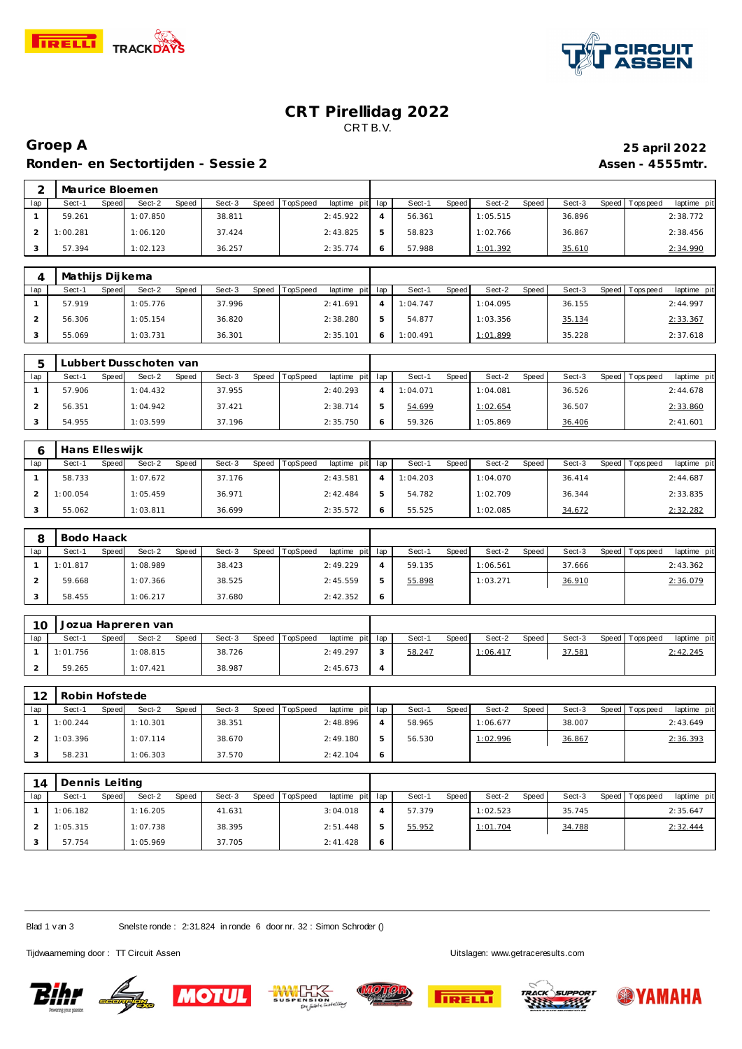



### **CRT Pirellidag 2022** CRT B.V.

# **Groep A 25 april 2022 Ronden- en Sectortijden - Sessie 2 Assen - 4555mtr.**

|     | Maurice Bloemen |       |          |       |        |       |          |                 |        |       |          |       |        |                 |             |
|-----|-----------------|-------|----------|-------|--------|-------|----------|-----------------|--------|-------|----------|-------|--------|-----------------|-------------|
| lap | Sect-1          | Speed | Sect-2   | Speed | Sect-3 | Speed | TopSpeed | laptime pit lap | Sect-1 | Speed | Sect-2   | Speed | Sect-3 | Speed Tops peed | laptime pit |
|     | 59.261          |       | 1:07.850 |       | 38.811 |       |          | 2:45.922        | 56.361 |       | 1:05.515 |       | 36.896 |                 | 2:38.772    |
|     | 1:00.281        |       | 1:06.120 |       | 37.424 |       |          | 2:43.825        | 58.823 |       | 1:02.766 |       | 36.867 |                 | 2:38.456    |
|     | 57.394          |       | 1:02.123 |       | 36.257 |       |          | 2:35.774        | 57.988 |       | 1:01.392 |       | 35.610 |                 | 2:34.990    |

|     | Mathijs Dijkema |       |          |       |        |       |                 |                 |          |       |          |       |        |                   |             |
|-----|-----------------|-------|----------|-------|--------|-------|-----------------|-----------------|----------|-------|----------|-------|--------|-------------------|-------------|
| lap | Sect-1          | Speed | Sect-2   | Speed | Sect-3 | Speed | <b>TopSpeed</b> | laptime pit lap | Sect-1   | Speed | Sect-2   | Speed | Sect-3 | Speed   Tops peed | laptime pit |
|     | 57.919          |       | 1:05.776 |       | 37.996 |       |                 | 2:41.691        | 1:04.747 |       | 1:04.095 |       | 36.155 |                   | 2:44.997    |
|     | 56.306          |       | 1:05.154 |       | 36.820 |       |                 | 2:38.280        | 54.877   |       | 1:03.356 |       | 35.134 |                   | 2:33.367    |
|     | 55.069          |       | 1:03.731 |       | 36.301 |       |                 | 2:35.101        | 1:00.491 |       | 1:01.899 |       | 35.228 |                   | 2:37.618    |

|     |        |       | Lubbert Dusschoten van |       |        |       |          |                 |   |          |       |          |       |        |                 |             |
|-----|--------|-------|------------------------|-------|--------|-------|----------|-----------------|---|----------|-------|----------|-------|--------|-----------------|-------------|
| lap | Sect-1 | Speed | Sect-2                 | Speed | Sect-3 | Speed | TopSpeed | laptime pit lap |   | Sect-1   | Speed | Sect-2   | Speed | Sect-3 | Speed Tops peed | laptime pit |
|     | 57.906 |       | 1:04.432               |       | 37.955 |       |          | 2:40.293        |   | 1:04.071 |       | 1:04.081 |       | 36.526 |                 | 2:44.678    |
|     | 56.351 |       | 1:04.942               |       | 37.421 |       |          | 2:38.714        |   | 54.699   |       | 1:02.654 |       | 36.507 |                 | 2:33.860    |
|     | 54.955 |       | 1:03.599               |       | 37.196 |       |          | 2:35.750        | 6 | 59.326   |       | 1:05.869 |       | 36.406 |                 | 2:41.601    |

|     | Hans Elleswijk |       |          |       |        |         |                 |                 |          |       |          |       |        |                 |             |
|-----|----------------|-------|----------|-------|--------|---------|-----------------|-----------------|----------|-------|----------|-------|--------|-----------------|-------------|
| lap | Sect-1         | Speed | Sect-2   | Speed | Sect-3 | Speed T | <b>TopSpeed</b> | laptime pit lap | Sect-1   | Speed | Sect-2   | Speed | Sect-3 | Speed Tops peed | laptime pit |
|     | 58.733         |       | 1:07.672 |       | 37.176 |         |                 | 2:43.581        | 1:04.203 |       | 1:04.070 |       | 36.414 |                 | 2:44.687    |
|     | 1:00.054       |       | 1:05.459 |       | 36.971 |         |                 | 2:42.484        | 54.782   |       | 1:02.709 |       | 36.344 |                 | 2:33.835    |
|     | 55.062         |       | 1:03.811 |       | 36.699 |         |                 | 2:35.572        | 55.525   |       | 1:02.085 |       | 34.672 |                 | 2:32.282    |

|     | Bodo Haack |       |          |       |        |       |          |             |     |        |       |          |       |        |                 |             |
|-----|------------|-------|----------|-------|--------|-------|----------|-------------|-----|--------|-------|----------|-------|--------|-----------------|-------------|
| lap | Sect-1     | Speed | Sect-2   | Speed | Sect-3 | Speed | TopSpeed | laptime pit | lap | Sect-1 | Speed | Sect-2   | Speed | Sect-3 | Speed Tops peed | laptime pit |
|     | 1:01.817   |       | 1:08.989 |       | 38.423 |       |          | 2:49.229    | 4   | 59.135 |       | 1:06.561 |       | 37.666 |                 | 2:43.362    |
|     | 59.668     |       | 1:07.366 |       | 38.525 |       |          | 2:45.559    | 5   | 55.898 |       | 1:03.271 |       | 36.910 |                 | 2:36.079    |
|     | 58.455     |       | 1:06.217 |       | 37.680 |       |          | 2:42.352    | 6   |        |       |          |       |        |                 |             |

| 10  |          |       | Jozua Hapreren van |       |        |                |                 |                |        |       |          |       |        |                 |             |
|-----|----------|-------|--------------------|-------|--------|----------------|-----------------|----------------|--------|-------|----------|-------|--------|-----------------|-------------|
| lap | Sect-1   | Speed | Sect-2             | Speed | Sect-3 | Speed TopSpeed | laptime pit lap |                | Sect-1 | Speed | Sect-2   | Speed | Sect-3 | Speed Tops peed | laptime pit |
|     | 1:01.756 |       | 1:08.815           |       | 38.726 |                | 2:49.297        |                | 58.247 |       | 1:06.417 |       | 37.581 |                 | 2:42.245    |
|     | 59.265   |       | 1:07.421           |       | 38.987 |                | 2:45.673        | $\overline{4}$ |        |       |          |       |        |                 |             |

| 12  | Robin Hofstede |       |          |       |        |       |          |                 |   |        |              |          |              |        |                 |             |
|-----|----------------|-------|----------|-------|--------|-------|----------|-----------------|---|--------|--------------|----------|--------------|--------|-----------------|-------------|
| lap | Sect-1         | Speed | Sect-2   | Speed | Sect-3 | Speed | TopSpeed | laptime pit lap |   | Sect-1 | <b>Speed</b> | Sect-2   | <b>Speed</b> | Sect-3 | Speed Tops peed | laptime pit |
|     | 1:00.244       |       | 1:10.301 |       | 38.351 |       |          | 2:48.896        | Δ | 58.965 |              | 1:06.677 |              | 38.007 |                 | 2:43.649    |
|     | 1:03.396       |       | 1:07.114 |       | 38.670 |       |          | 2:49.180        | 5 | 56.530 |              | 1:02.996 |              | 36.867 |                 | 2:36.393    |
|     | 58.231         |       | 1:06.303 |       | 37.570 |       |          | 2:42.104        | Ô |        |              |          |              |        |                 |             |

| 14  | Dennis Leiting |       |          |       |        |                |                 |        |       |          |         |        |                 |             |
|-----|----------------|-------|----------|-------|--------|----------------|-----------------|--------|-------|----------|---------|--------|-----------------|-------------|
| lap | Sect-1         | Speed | Sect-2   | Speed | Sect-3 | Speed TopSpeed | laptime pit lap | Sect-1 | Speed | Sect-2   | Speed I | Sect-3 | Speed Tops peed | laptime pit |
|     | 1:06.182       |       | 1:16.205 |       | 41.631 |                | 3:04.018        | 57.379 |       | 1:02.523 |         | 35.745 |                 | 2:35.647    |
|     | 1:05.315       |       | 1:07.738 |       | 38.395 |                | 2:51.448        | 55.952 |       | 1:01.704 |         | 34.788 |                 | 2:32.444    |
|     | 57.754         |       | 1:05.969 |       | 37.705 |                | 2:41.428        |        |       |          |         |        |                 |             |

Blad 1 v an 3 Snelste ronde : 2:31.824 in ronde 6 door nr. 32 : Simon Schroder ()

Tijdwaarneming door : TT Circuit Assen enter the state of the state of the Uitslagen:<www.getraceresults.com>











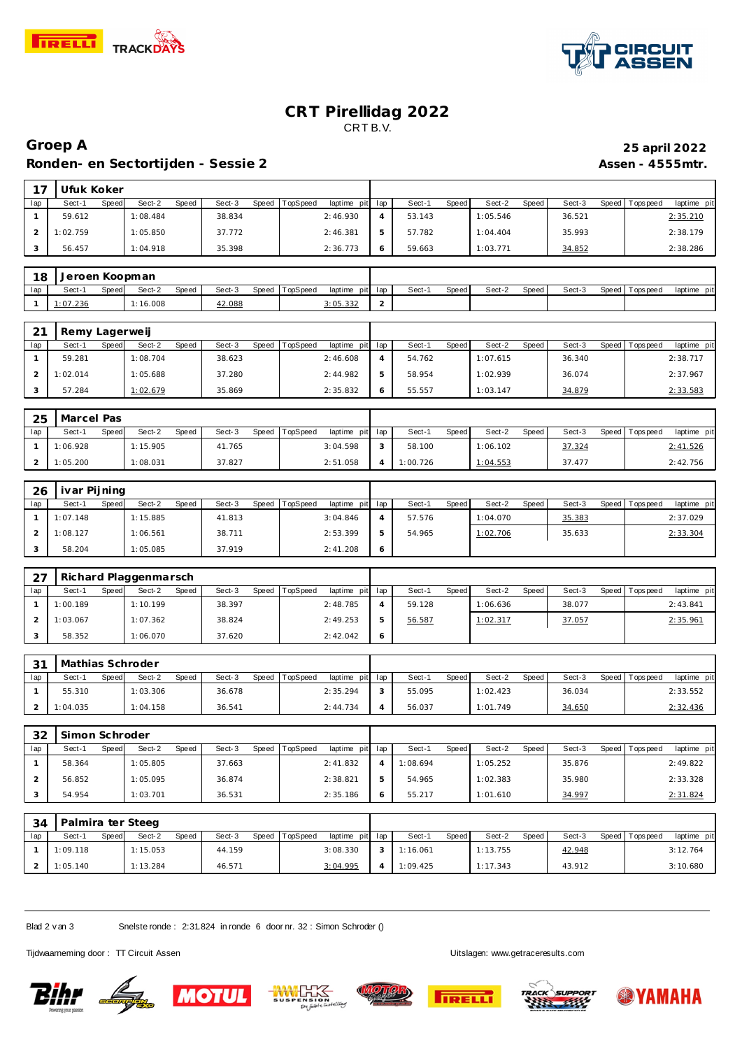



# **CRT Pirellidag 2022** CRT B.V.

# **Groep A 25 april 2022 Ronden- en Sectortijden - Sessie 2 Assen - 4555mtr.**

|     | l Ufuk Koker |       |          |              |        |       |          |             |     |        |              |          |       |        |       |             |             |
|-----|--------------|-------|----------|--------------|--------|-------|----------|-------------|-----|--------|--------------|----------|-------|--------|-------|-------------|-------------|
| lap | Sect-1       | Speed | Sect-2   | <b>Speed</b> | Sect-3 | Speed | TopSpeed | laptime pit | lap | Sect-1 | <b>Speed</b> | Sect-2   | Speed | Sect-3 | Speed | T ops pee d | laptime pit |
|     | 59.612       |       | 1:08.484 |              | 38.834 |       |          | 2:46.930    |     | 53.143 |              | 1:05.546 |       | 36.521 |       |             | 2:35.210    |
|     | 1:02.759     |       | 1:05.850 |              | 37.772 |       |          | 2:46.381    |     | 57.782 |              | 1:04.404 |       | 35.993 |       |             | 2:38.179    |
|     | 56.457       |       | 1:04.918 |              | 35.398 |       |          | 2:36.773    | Ô   | 59.663 |              | 1:03.771 |       | 34.852 |       |             | 2:38.286    |

| 18  | Jeroen Koopman |       |         |       |        |                |                 |   |       |       |        |       |        |                   |             |
|-----|----------------|-------|---------|-------|--------|----------------|-----------------|---|-------|-------|--------|-------|--------|-------------------|-------------|
| lap | Sect-'         | Speed | Sect-2  | Speed | Sect-3 | Speed TopSpeed | laptime pit lap |   | Sect- | Speed | Sect-2 | Speed | Sect-3 | Speed   Tops peed | laptime pit |
|     | 1:07.236       |       | .16.008 |       | 42.088 |                | 3:05.332        | - |       |       |        |       |        |                   |             |

| $\bigcap$ 1 | Remy Lagerweij |       |          |       |        |       |                 |                 |        |       |          |       |        |                 |             |
|-------------|----------------|-------|----------|-------|--------|-------|-----------------|-----------------|--------|-------|----------|-------|--------|-----------------|-------------|
| lap         | Sect-1         | Speed | Sect-2   | Speed | Sect-3 | Speed | <b>TopSpeed</b> | laptime pit lap | Sect-1 | Speed | Sect-2   | Speed | Sect-3 | Speed Tops peed | laptime pit |
|             | 59.281         |       | 1:08.704 |       | 38.623 |       |                 | 2:46.608        | 54.762 |       | 1:07.615 |       | 36.340 |                 | 2:38.717    |
|             | 1:02.014       |       | 1:05.688 |       | 37.280 |       |                 | 2:44.982        | 58.954 |       | 1:02.939 |       | 36.074 |                 | 2:37.967    |
|             | 57.284         |       | 1:02.679 |       | 35.869 |       |                 | 2:35.832        | 55.557 |       | 1:03.147 |       | 34.879 |                 | 2:33.583    |

| 25  | Marcel Pas |       |          |       |        |       |          |                 |          |       |          |         |        |                 |             |  |
|-----|------------|-------|----------|-------|--------|-------|----------|-----------------|----------|-------|----------|---------|--------|-----------------|-------------|--|
| lap | Sect-′     | Speed | Sect-2   | Speed | Sect-3 | Speed | TopSpeed | laptime pit lap | Sect-1   | Speed | Sect-2   | Speed I | Sect-3 | Speed Tops peed | laptime pit |  |
|     | 1:06.928   |       | 1:15.905 |       | 41.765 |       |          | 3:04.598        | 58.100   |       | 1:06.102 |         | 37.324 |                 | 2:41.526    |  |
|     | 1:05.200   |       | 1:08.031 |       | 37.827 |       |          | 2:51.058        | 1:00.726 |       | 1:04.553 |         | 37.477 |                 | 2:42.756    |  |

| 26  | ivar Pijning |       |          |       |        |                |                 |        |       |          |       |        |                 |             |
|-----|--------------|-------|----------|-------|--------|----------------|-----------------|--------|-------|----------|-------|--------|-----------------|-------------|
| lap | Sect-1       | Speed | Sect-2   | Speed | Sect-3 | Speed TopSpeed | laptime pit lap | Sect-1 | Speed | Sect-2   | Speed | Sect-3 | Speed Tops peed | laptime pit |
|     | 1:07.148     |       | 1:15.885 |       | 41.813 |                | 3:04.846        | 57.576 |       | 1:04.070 |       | 35.383 |                 | 2:37.029    |
|     | 1:08.127     |       | 1:06.561 |       | 38.711 |                | 2:53.399        | 54.965 |       | 1:02.706 |       | 35.633 |                 | 2:33.304    |
|     | 58.204       |       | 1:05.085 |       | 37.919 |                | 2:41.208        |        |       |          |       |        |                 |             |

| 27  |          |       | Richard Plaggenmarsch |       |        |                |                 |        |       |          |       |        |                 |             |
|-----|----------|-------|-----------------------|-------|--------|----------------|-----------------|--------|-------|----------|-------|--------|-----------------|-------------|
| lap | Sect-1   | Speed | Sect-2                | Speed | Sect-3 | Speed TopSpeed | laptime pit lap | Sect-1 | Speed | Sect-2   | Speed | Sect-3 | Speed Tops peed | laptime pit |
|     | 1:00.189 |       | 1:10.199              |       | 38.397 |                | 2:48.785        | 59.128 |       | 1:06.636 |       | 38.077 |                 | 2:43.841    |
|     | 1:03.067 |       | 1:07.362              |       | 38.824 |                | 2:49.253        | 56.587 |       | 1:02.317 |       | 37.057 |                 | 2:35.961    |
|     | 58.352   |       | 1:06.070              |       | 37.620 |                | 2:42.042        |        |       |          |       |        |                 |             |

| 31  | <b>Mathias Schroder</b> |       |          |       |        |       |          |                 |        |       |          |       |        |                 |             |
|-----|-------------------------|-------|----------|-------|--------|-------|----------|-----------------|--------|-------|----------|-------|--------|-----------------|-------------|
| lap | Sect-1                  | Speed | Sect-2   | Speed | Sect-3 | Speed | TopSpeed | laptime pit lap | Sect-1 | Speed | Sect-2   | Speed | Sect-3 | Speed Tops peed | laptime pit |
|     | 55.310                  |       | 1:03.306 |       | 36.678 |       |          | 2:35.294        | 55.095 |       | 1:02.423 |       | 36.034 |                 | 2:33.552    |
|     | 1:04.035                |       | 1:04.158 |       | 36.541 |       |          | 2:44.734        | 56.037 |       | 1:01.749 |       | 34.650 |                 | 2:32.436    |

| 32  | Simon Schroder |       |          |       |        |       |          |                 |             |          |       |          |       |        |                 |             |
|-----|----------------|-------|----------|-------|--------|-------|----------|-----------------|-------------|----------|-------|----------|-------|--------|-----------------|-------------|
| lap | Sect-1         | Speed | Sect-2   | Speed | Sect-3 | Speed | TopSpeed | laptime pit lap |             | Sect-1   | Speed | Sect-2   | Speed | Sect-3 | Speed Tops peed | laptime pit |
|     | 58.364         |       | 1:05.805 |       | 37.663 |       |          | 2:41.832        |             | 1:08.694 |       | 1:05.252 |       | 35.876 |                 | 2:49.822    |
|     | 56.852         |       | 1:05.095 |       | 36.874 |       |          | 2:38.821        | $\mathbf b$ | 54.965   |       | 1:02.383 |       | 35.980 |                 | 2:33.328    |
|     | 54.954         |       | 1:03.701 |       | 36.531 |       |          | 2:35.186        | 6           | 55.217   |       | 1:01.610 |       | 34.997 |                 | 2:31.824    |

| 34  | Palmira ter Steeg |              |          |       |        |       |          |                 |  |          |       |          |       |        |                 |             |
|-----|-------------------|--------------|----------|-------|--------|-------|----------|-----------------|--|----------|-------|----------|-------|--------|-----------------|-------------|
| lap | Sect-1            | <b>Speed</b> | Sect-2   | Speed | Sect-3 | Speed | TopSpeed | laptime pit lap |  | Sect-1   | Speed | Sect-2   | Speed | Sect-3 | Speed Tops peed | laptime pit |
|     | 1:09.118          |              | 1:15.053 |       | 44.159 |       |          | 3:08.330        |  | 1:16.061 |       | 1:13.755 |       | 42.948 |                 | 3:12.764    |
|     | 1:05.140          |              | 1:13.284 |       | 46.571 |       |          | 3:04.995        |  | 1:09.425 |       | 1:17.343 |       | 43.912 |                 | 3:10.680    |

Blad 2 v an 3 Snelste ronde : 2:31.824 in ronde 6 door nr. 32 : Simon Schroder ()

Tijdwaarneming door : TT Circuit Assen Uitslagen:<www.getraceresults.com>